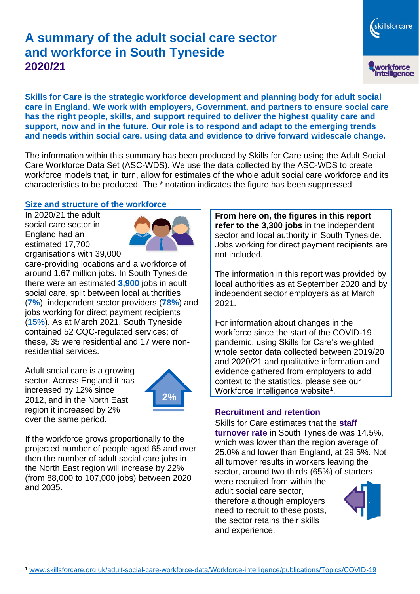# **A summary of the adult social care sector and workforce in South Tyneside 2020/21**

skillsforcare workforce<br>intelligence

**Skills for Care is the strategic workforce development and planning body for adult social care in England. We work with employers, Government, and partners to ensure social care has the right people, skills, and support required to deliver the highest quality care and support, now and in the future. Our role is to respond and adapt to the emerging trends and needs within social care, using data and evidence to drive forward widescale change.**

The information within this summary has been produced by Skills for Care using the Adult Social Care Workforce Data Set (ASC-WDS). We use the data collected by the ASC-WDS to create workforce models that, in turn, allow for estimates of the whole adult social care workforce and its characteristics to be produced. The \* notation indicates the figure has been suppressed.

# **Size and structure of the workforce**

In 2020/21 the adult social care sector in England had an estimated 17,700 organisations with 39,000



care-providing locations and a workforce of around 1.67 million jobs. In South Tyneside there were an estimated **3,900** jobs in adult social care, split between local authorities (**7%**), independent sector providers (**78%**) and jobs working for direct payment recipients (**15%**). As at March 2021, South Tyneside contained 52 CQC-regulated services; of these, 35 were residential and 17 were nonresidential services.

Adult social care is a growing sector. Across England it has increased by 12% since 2012, and in the North East region it increased by 2% over the same period.



If the workforce grows proportionally to the projected number of people aged 65 and over then the number of adult social care jobs in the North East region will increase by 22% (from 88,000 to 107,000 jobs) between 2020 and 2035.

**From here on, the figures in this report refer to the 3,300 jobs** in the independent sector and local authority in South Tyneside. Jobs working for direct payment recipients are not included.

The information in this report was provided by local authorities as at September 2020 and by independent sector employers as at March 2021.

For information about changes in the workforce since the start of the COVID-19 pandemic, using Skills for Care's weighted whole sector data collected between 2019/20 and 2020/21 and qualitative information and evidence gathered from employers to add context to the statistics, please see our Workforce Intelligence website<sup>1</sup>.

# **Recruitment and retention**

Skills for Care estimates that the **staff turnover rate** in South Tyneside was 14.5%, which was lower than the region average of 25.0% and lower than England, at 29.5%. Not all turnover results in workers leaving the sector, around two thirds (65%) of starters were recruited from within the

adult social care sector, therefore although employers need to recruit to these posts, the sector retains their skills and experience.

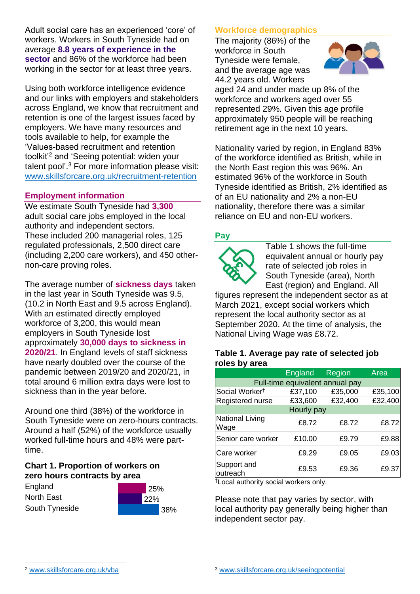Adult social care has an experienced 'core' of workers. Workers in South Tyneside had on average **8.8 years of experience in the sector** and 86% of the workforce had been working in the sector for at least three years.

Using both workforce intelligence evidence and our links with employers and stakeholders across England, we know that recruitment and retention is one of the largest issues faced by employers. We have many resources and tools available to help, for example the 'Values-based recruitment and retention toolkit'<sup>2</sup> and 'Seeing potential: widen your talent pool'. <sup>3</sup> For more information please visit: [www.skillsforcare.org.uk/recruitment-retention](http://www.skillsforcare.org.uk/recruitment-retention)

# **Employment information**

We estimate South Tyneside had **3,300** adult social care jobs employed in the local authority and independent sectors. These included 200 managerial roles, 125 regulated professionals, 2,500 direct care (including 2,200 care workers), and 450 othernon-care proving roles.

The average number of **sickness days** taken in the last year in South Tyneside was 9.5, (10.2 in North East and 9.5 across England). With an estimated directly employed workforce of 3,200, this would mean employers in South Tyneside lost approximately **30,000 days to sickness in 2020/21**. In England levels of staff sickness have nearly doubled over the course of the pandemic between 2019/20 and 2020/21, in total around 6 million extra days were lost to sickness than in the year before.

Around one third (38%) of the workforce in South Tyneside were on zero-hours contracts. Around a half (52%) of the workforce usually worked full-time hours and 48% were parttime.

# **Chart 1. Proportion of workers on zero hours contracts by area**

England North East South Tyneside



# **Workforce demographics**

The majority (86%) of the workforce in South Tyneside were female, and the average age was 44.2 years old. Workers



aged 24 and under made up 8% of the workforce and workers aged over 55 represented 29%. Given this age profile approximately 950 people will be reaching retirement age in the next 10 years.

Nationality varied by region, in England 83% of the workforce identified as British, while in the North East region this was 96%. An estimated 96% of the workforce in South Tyneside identified as British, 2% identified as of an EU nationality and 2% a non-EU nationality, therefore there was a similar reliance on EU and non-EU workers.

# **Pay**



Table 1 shows the full-time equivalent annual or hourly pay rate of selected job roles in South Tyneside (area), North East (region) and England. All

figures represent the independent sector as at March 2021, except social workers which represent the local authority sector as at September 2020. At the time of analysis, the National Living Wage was £8.72.

#### **Table 1. Average pay rate of selected job roles by area**

|                                 | <b>England</b> | Region  | Area    |
|---------------------------------|----------------|---------|---------|
| Full-time equivalent annual pay |                |         |         |
| Social Worker <sup>t</sup>      | £37,100        | £35,000 | £35,100 |
| Registered nurse                | £33,600        | £32,400 | £32,400 |
| Hourly pay                      |                |         |         |
| National Living<br>Wage         | £8.72          | £8.72   | £8.72   |
| Senior care worker              | £10.00         | £9.79   | £9.88   |
| Care worker                     | £9.29          | £9.05   | £9.03   |
| Support and<br>outreach         | £9.53          | £9.36   | £9.37   |

†Local authority social workers only.

Please note that pay varies by sector, with local authority pay generally being higher than independent sector pay.

[www.skillsforcare.org.uk/vba](http://www.skillsforcare.org.uk/vba)